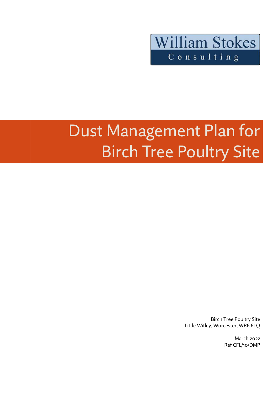

# Dust Management Plan for **Birch Tree Poultry Site**

Birch Tree Poultry Site Little Witley, Worcester, WR6 6LQ

> March 2022 Ref CFL/10/DMP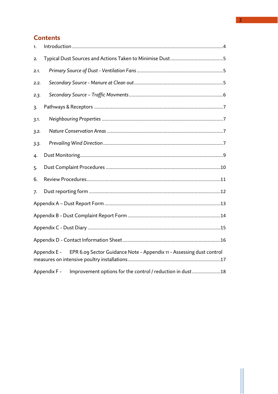### **Contents**

| 1.   |                                                                                      |  |
|------|--------------------------------------------------------------------------------------|--|
| 2.   |                                                                                      |  |
| 2.1. |                                                                                      |  |
| 2.2. |                                                                                      |  |
| 2.3. |                                                                                      |  |
| 3.   |                                                                                      |  |
| 3.1. |                                                                                      |  |
| 3.2. |                                                                                      |  |
| 3.3. |                                                                                      |  |
| 4.   |                                                                                      |  |
| 5.   |                                                                                      |  |
| 6.   |                                                                                      |  |
| 7.   |                                                                                      |  |
|      |                                                                                      |  |
|      |                                                                                      |  |
|      |                                                                                      |  |
|      |                                                                                      |  |
|      | EPR 6.09 Sector Guidance Note - Appendix 11 - Assessing dust control<br>Appendix E - |  |
|      | Improvement options for the control / reduction in dust 18<br>Appendix F -           |  |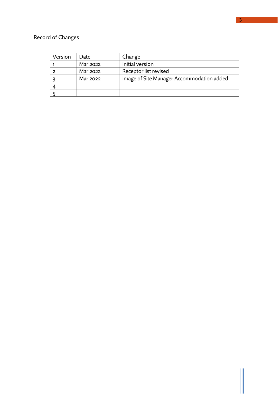# Record of Changes

| Version | Date     | Change                                    |
|---------|----------|-------------------------------------------|
|         | Mar 2022 | Initial version                           |
|         | Mar 2022 | Receptor list revised                     |
|         | Mar 2022 | Image of Site Manager Accommodation added |
|         |          |                                           |
|         |          |                                           |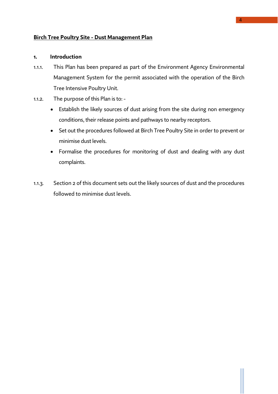### **Birch Tree Poultry Site - Dust Management Plan**

### <span id="page-3-0"></span>**1. Introduction**

- 1.1.1. This Plan has been prepared as part of the Environment Agency Environmental Management System for the permit associated with the operation of the Birch Tree Intensive Poultry Unit.
- 1.1.2. The purpose of this Plan is to:
	- Establish the likely sources of dust arising from the site during non emergency conditions, their release points and pathways to nearby receptors.
	- Set out the procedures followed at Birch Tree Poultry Site in order to prevent or minimise dust levels.
	- Formalise the procedures for monitoring of dust and dealing with any dust complaints.
- 1.1.3. Section 2 of this document sets out the likely sources of dust and the procedures followed to minimise dust levels.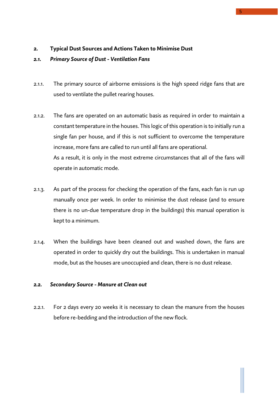### <span id="page-4-2"></span>**2. Typical Dust Sources and Actions Taken to Minimise Dust**

### <span id="page-4-1"></span>*2.1. Primary Source of Dust - Ventilation Fans*

- 2.1.1. The primary source of airborne emissions is the high speed ridge fans that are used to ventilate the pullet rearing houses.
- 2.1.2. The fans are operated on an automatic basis as required in order to maintain a constant temperature in the houses. This logic of this operation is to initially run a single fan per house, and if this is not sufficient to overcome the temperature increase, more fans are called to run until all fans are operational. As a result, it is only in the most extreme circumstances that all of the fans will operate in automatic mode.
- 2.1.3. As part of the process for checking the operation of the fans, each fan is run up manually once per week. In order to minimise the dust release (and to ensure there is no un-due temperature drop in the buildings) this manual operation is kept to a minimum.
- 2.1.4. When the buildings have been cleaned out and washed down, the fans are operated in order to quickly dry out the buildings. This is undertaken in manual mode, but as the houses are unoccupied and clean, there is no dust release.

### <span id="page-4-0"></span>*2.2. Secondary Source - Manure at Clean out*

2.2.1. For 2 days every 20 weeks it is necessary to clean the manure from the houses before re-bedding and the introduction of the new flock.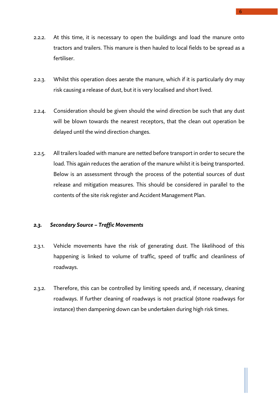- 2.2.2. At this time, it is necessary to open the buildings and load the manure onto tractors and trailers. This manure is then hauled to local fields to be spread as a fertiliser.
- 2.2.3. Whilst this operation does aerate the manure, which if it is particularly dry may risk causing a release of dust, but it is very localised and short lived.
- 2.2.4. Consideration should be given should the wind direction be such that any dust will be blown towards the nearest receptors, that the clean out operation be delayed until the wind direction changes.
- 2.2.5. All trailers loaded with manure are netted before transport in order to secure the load. This again reduces the aeration of the manure whilst it is being transported. Below is an assessment through the process of the potential sources of dust release and mitigation measures. This should be considered in parallel to the contents of the site risk register and Accident Management Plan.

### <span id="page-5-0"></span>*2.3. Secondary Source – Traffic Movements*

- 2.3.1. Vehicle movements have the risk of generating dust. The likelihood of this happening is linked to volume of traffic, speed of traffic and cleanliness of roadways.
- 2.3.2. Therefore, this can be controlled by limiting speeds and, if necessary, cleaning roadways. If further cleaning of roadways is not practical (stone roadways for instance) then dampening down can be undertaken during high risk times.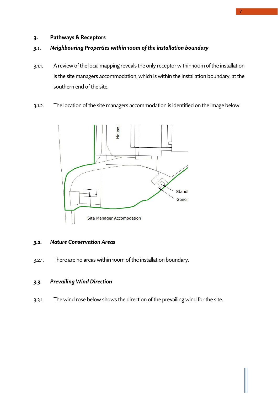### <span id="page-6-3"></span>**3. Pathways & Receptors**

### <span id="page-6-2"></span>*3.1. Neighbouring Properties within 100m of the installation boundary*

- 3.1.1. A review of the local mapping reveals the only receptor within 100m of the installation is the site managers accommodation, which is within the installation boundary, at the southern end of the site.
- 3.1.2. The location of the site managers accommodation is identified on the image below:



### <span id="page-6-1"></span>*3.2. Nature Conservation Areas*

3.2.1. There are no areas within 100m of the installation boundary.

### <span id="page-6-0"></span>*3.3. Prevailing Wind Direction*

3.3.1. The wind rose below shows the direction of the prevailing wind for the site.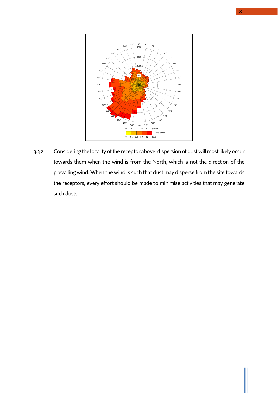

3.3.2. Considering the locality of the receptor above, dispersion of dustwill most likely occur towards them when the wind is from the North, which is not the direction of the prevailing wind. When the wind is such that dust may disperse from the site towards the receptors, every effort should be made to minimise activities that may generate such dusts.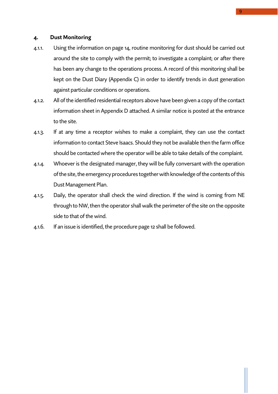### <span id="page-8-0"></span>**4. Dust Monitoring**

- 4.1.1. Using the information on page 14, routine monitoring for dust should be carried out around the site to comply with the permit; to investigate a complaint; or after there has been any change to the operations process. A record of this monitoring shall be kept on the Dust Diary (Appendix C) in order to identify trends in dust generation against particular conditions or operations.
- 4.1.2. All of the identified residential receptors above have been given a copy of the contact information sheet in Appendix D attached. A similar notice is posted at the entrance to the site.
- 4.1.3. If at any time a receptor wishes to make a complaint, they can use the contact information to contact Steve Isaacs. Should they not be available then the farm office should be contacted where the operator will be able to take details of the complaint.
- 4.1.4. Whoever is the designated manager, they will be fully conversant with the operation of the site, the emergency procedures together with knowledge of the contents of this Dust Management Plan.
- 4.1.5. Daily, the operator shall check the wind direction. If the wind is coming from NE through to NW, then the operator shall walk the perimeter of the site on the opposite side to that of the wind.
- 4.1.6. If an issue is identified, the procedure page 12 shall be followed.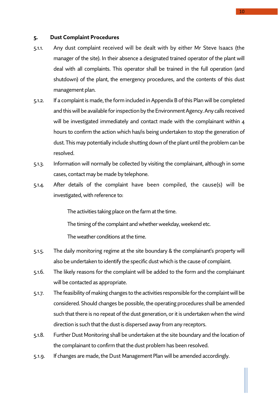### <span id="page-9-0"></span>**5. Dust Complaint Procedures**

- 5.1.1. Any dust complaint received will be dealt with by either Mr Steve Isaacs (the manager of the site). In their absence a designated trained operator of the plant will deal with all complaints. This operator shall be trained in the full operation (and shutdown) of the plant, the emergency procedures, and the contents of this dust management plan.
- 5.1.2. If a complaint is made, the form included in Appendix B of this Plan will be completed and this will be available for inspection by the Environment Agency. Any calls received will be investigated immediately and contact made with the complainant within 4 hours to confirm the action which has/is being undertaken to stop the generation of dust. This may potentially include shutting down of the plant until the problem can be resolved.
- 5.1.3. Information will normally be collected by visiting the complainant, although in some cases, contact may be made by telephone.
- 5.1.4. After details of the complaint have been compiled, the cause(s) will be investigated, with reference to:

The activities taking place on the farm at the time.

The timing of the complaint and whether weekday, weekend etc.

The weather conditions at the time.

- 5.1.5. The daily monitoring regime at the site boundary & the complainant's property will also be undertaken to identify the specific dust which is the cause of complaint.
- 5.1.6. The likely reasons for the complaint will be added to the form and the complainant will be contacted as appropriate.
- 5.1.7. The feasibility of making changes to the activities responsible for the complaint will be considered. Should changes be possible, the operating procedures shall be amended such that there is no repeat of the dust generation, or it is undertaken when the wind direction is such that the dustis dispersed away from any receptors.
- 5.1.8. Further Dust Monitoring shall be undertaken at the site boundary and the location of the complainant to confirm that the dust problem has been resolved.
- 5.1.9. If changes are made, the Dust Management Plan will be amended accordingly.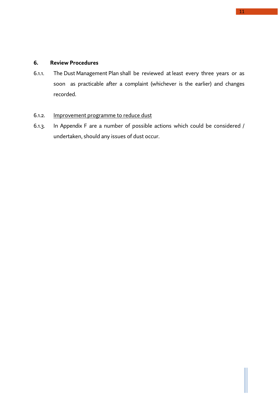### <span id="page-10-0"></span>**6. Review Procedures**

6.1.1. The Dust Management Plan shall be reviewed at least every three years or as soon as practicable after a complaint (whichever is the earlier) and changes recorded.

### 6.1.2. Improvement programme to reduce dust

6.1.3. In Appendix F are a number of possible actions which could be considered / undertaken, should any issues of dust occur.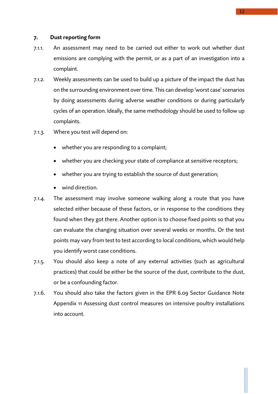### <span id="page-11-0"></span>**7. Dust reporting form**

- 7.1.1. An assessment may need to be carried out either to work out whether dust emissions are complying with the permit, or as a part of an investigation into a complaint.
- 7.1.2. Weekly assessments can be used to build up a picture of the impact the dust has on the surrounding environment over time. This can develop 'worst case' scenarios by doing assessments during adverse weather conditions or during particularly cycles of an operation. Ideally, the same methodology should be used to follow up complaints.
- 7.1.3. Where you test will depend on:
	- whether you are responding to a complaint;
	- whether you are checking your state of compliance at sensitive receptors;
	- whether you are trying to establish the source of dust generation;
	- wind direction.
- 7.1.4. The assessment may involve someone walking along a route that you have selected either because of these factors, or in response to the conditions they found when they got there. Another option is to choose fixed points so that you can evaluate the changing situation over several weeks or months. Or the test points may vary from test to test according to local conditions, which would help you identify worst case conditions.
- 7.1.5. You should also keep a note of any external activities (such as agricultural practices) that could be either be the source of the dust, contribute to the dust, or be a confounding factor.
- 7.1.6. You should also take the factors given in the EPR 6.09 Sector Guidance Note Appendix 11 Assessing dust control measures on intensive poultry installations into account.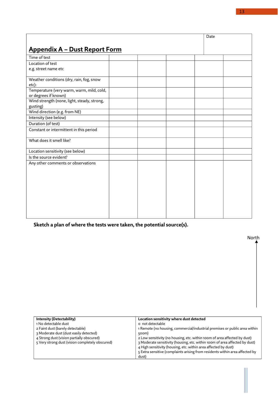<span id="page-12-0"></span>

|                                                                   |  | Date |  |
|-------------------------------------------------------------------|--|------|--|
|                                                                   |  |      |  |
| <b>Appendix A - Dust Report Form</b>                              |  |      |  |
| Time of test                                                      |  |      |  |
| Location of test                                                  |  |      |  |
| e.g. street name etc                                              |  |      |  |
| Weather conditions (dry, rain, fog, snow                          |  |      |  |
| etc):                                                             |  |      |  |
| Temperature (very warm, warm, mild, cold,<br>or degrees if known) |  |      |  |
| Wind strength (none, light, steady, strong,                       |  |      |  |
| gusting)                                                          |  |      |  |
| Wind direction (e.g. from NE)                                     |  |      |  |
| Intensity (see below)                                             |  |      |  |
| Duration (of test)                                                |  |      |  |
| Constant or intermittent in this period                           |  |      |  |
| What does it smell like?                                          |  |      |  |
| Location sensitivity (see below)                                  |  |      |  |
| Is the source evident?                                            |  |      |  |
| Any other comments or observations                                |  |      |  |
|                                                                   |  |      |  |
|                                                                   |  |      |  |
|                                                                   |  |      |  |
|                                                                   |  |      |  |
|                                                                   |  |      |  |
|                                                                   |  |      |  |
|                                                                   |  |      |  |
|                                                                   |  |      |  |
|                                                                   |  |      |  |

**Sketch a plan of where the tests were taken, the potential source(s).**

| <b>Intensity (Detectability)</b>                | Location sensitivity where dust detected                                     |
|-------------------------------------------------|------------------------------------------------------------------------------|
| 1 No detectable dust<br>o not detectable        |                                                                              |
| 2 Faint dust (barely detectable)                | 1 Remote (no housing, commercial/industrial premises or public area within   |
| 3 Moderate dust (dust easily detected)<br>500m) |                                                                              |
| 4 Strong dust (vision partially obscured)       | 2 Low sensitivity (no housing, etc. within 100m of area affected by dust)    |
| 5 Very strong dust (vision completely obscured) | 3 Moderate sensitivity (housing, etc. within 100m of area affected by dust)  |
|                                                 | 4 High sensitivity (housing, etc. within area affected by dust)              |
|                                                 | 5 Extra sensitive (complaints arising from residents within area affected by |
| dust)                                           |                                                                              |

North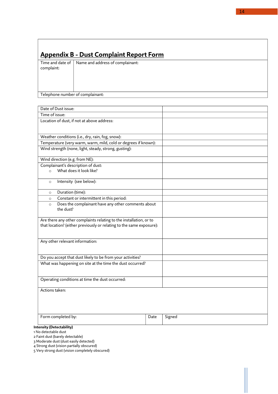## <span id="page-13-0"></span>**Appendix B - Dust Complaint Report Form**

Time and date of Name and address of complainant: complaint:

### Telephone number of complainant:

| Time of issue:                                                                                                                             |      |        |
|--------------------------------------------------------------------------------------------------------------------------------------------|------|--------|
|                                                                                                                                            |      |        |
| Location of dust, if not at above address:                                                                                                 |      |        |
| Weather conditions (i.e., dry, rain, fog, snow):                                                                                           |      |        |
| Temperature (very warm, warm, mild, cold or degrees if known):                                                                             |      |        |
| Wind strength (none, light, steady, strong, gusting):                                                                                      |      |        |
| Wind direction (e.g. from NE):                                                                                                             |      |        |
| Complainant's description of dust:                                                                                                         |      |        |
| What does it look like?<br>$\circ$                                                                                                         |      |        |
| Intensity (see below):<br>$\circ$                                                                                                          |      |        |
| Duration (time):<br>$\circ$                                                                                                                |      |        |
| Constant or intermittent in this period:<br>$\circ$                                                                                        |      |        |
| Does the complainant have any other comments about<br>$\circ$<br>the dust?                                                                 |      |        |
| Are there any other complaints relating to the installation, or to<br>that location? (either previously or relating to the same exposure): |      |        |
| Any other relevant information:                                                                                                            |      |        |
| Do you accept that dust likely to be from your activities?                                                                                 |      |        |
| What was happening on site at the time the dust occurred?                                                                                  |      |        |
| Operating conditions at time the dust occurred:                                                                                            |      |        |
| Actions taken:                                                                                                                             |      |        |
| Form completed by:                                                                                                                         | Date | Signed |

#### **Intensity (Detectability)**

1 No detectable dust

2 Faint dust (barely detectable)

3 Moderate dust (dust easily detected)

4 Strong dust (vision partially obscured)

5 Very strong dust (vision completely obscured)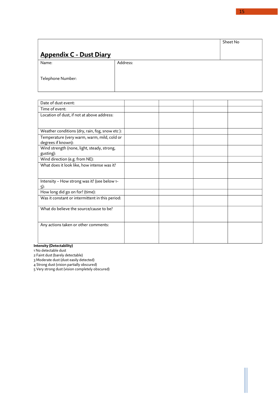# <span id="page-14-0"></span>**Appendix C - Dust Diary** Sheet No Name: Telephone Number: Address:

| Date of dust event:                             |  |  |
|-------------------------------------------------|--|--|
| Time of event:                                  |  |  |
| Location of dust, if not at above address:      |  |  |
|                                                 |  |  |
|                                                 |  |  |
| Weather conditions (dry, rain, fog, snow etc):  |  |  |
| Temperature (very warm, warm, mild, cold or     |  |  |
| degrees if known):                              |  |  |
| Wind strength (none, light, steady, strong,     |  |  |
| gusting):                                       |  |  |
| Wind direction (e.g. from NE):                  |  |  |
| What does it look like, how intense was it?     |  |  |
|                                                 |  |  |
|                                                 |  |  |
| Intensity - How strong was it? (see below 1-    |  |  |
| 5):                                             |  |  |
| How long did go on for? (time):                 |  |  |
| Was it constant or intermittent in this period: |  |  |
|                                                 |  |  |
| What do believe the source/cause to be?         |  |  |
|                                                 |  |  |
|                                                 |  |  |
| Any actions taken or other comments:            |  |  |
|                                                 |  |  |
|                                                 |  |  |
|                                                 |  |  |

### **Intensity (Detectability)**

1 No detectable dust

2 Faint dust (barely detectable)

3 Moderate dust (dust easily detected)

4 Strong dust (vision partially obscured)

5 Very strong dust (vision completely obscured)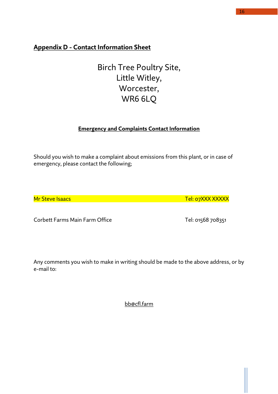# <span id="page-15-0"></span>**Appendix D - Contact Information Sheet**

Birch Tree Poultry Site, Little Witley, Worcester, WR6 6LQ

### **Emergency and Complaints Contact Information**

Should you wish to make a complaint about emissions from this plant, or in case of emergency, please contact the following;

Mr Steve Isaacs Tel: 07XXX XXXXXX CONSERVERSION CONSERVERSION CONSERVERS OF Tel: 07XXX XXXXX

Corbett Farms Main Farm Office Tel: 01568 708351

Any comments you wish to make in writing should be made to the above address, or by e-mail to:

[bb@cfl.farm](mailto:bb@cfl.farm)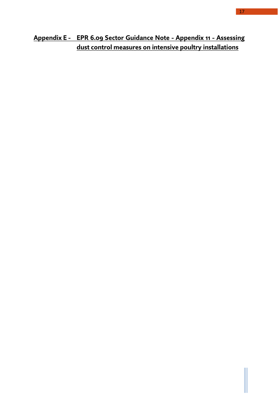# <span id="page-16-0"></span>**Appendix E - EPR 6.09 Sector Guidance Note - Appendix 11 - Assessing dust control measures on intensive poultry installations**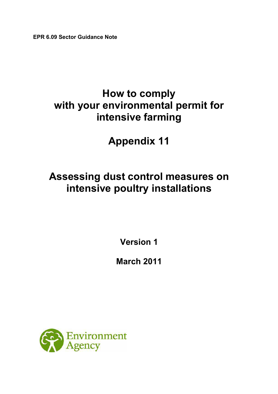**EPR 6.09 Sector Guidance Note** 

# **How to comply with your environmental permit for intensive farming**

**Appendix 11**

# **Assessing dust control measures on intensive poultry installations**

**Version 1**

**March 2011** 

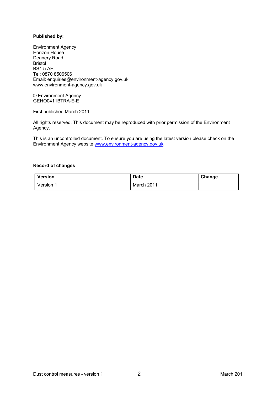### **Published by:**

Environment Agency Horizon House Deanery Road Bristol BS1 5 AH Tel: 0870 8506506 Email: enquiries@environment-agency.gov.uk www.environment-agency.gov.uk

© Environment Agency GEHO0411BTRA-E-E

First published March 2011

All rights reserved. This document may be reproduced with prior permission of the Environment Agency.

This is an uncontrolled document. To ensure you are using the latest version please check on the Environment Agency website [www.environment-agency.gov.uk](http://www.environment-agency.gov.uk/)

### **Record of changes**

| Version | <b>Date</b> | Change |
|---------|-------------|--------|
| Version | March 2011  |        |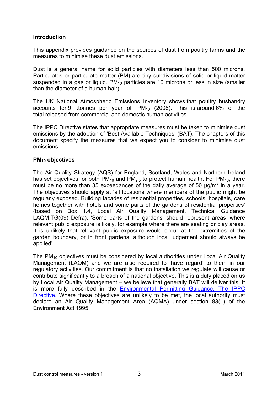### **Introduction**

This appendix provides guidance on the sources of dust from poultry farms and the measures to minimise these dust emissions.

Dust is a general name for solid particles with diameters less than 500 microns. Particulates or particulate matter (PM) are tiny subdivisions of solid or liquid matter suspended in a gas or liquid.  $PM_{10}$  particles are 10 microns or less in size (smaller than the diameter of a human hair).

The UK National Atmospheric Emissions Inventory shows that poultry husbandry accounts for 9 ktonnes per year of  $PM_{10}$  (2008). This is around 6% of the total released from commercial and domestic human activities.

The IPPC Directive states that appropriate measures must be taken to minimise dust emissions by the adoption of 'Best Available Techniques' (BAT). The chapters of this document specify the measures that we expect you to consider to minimise dust emissions.

### **PM10 objectives**

The Air Quality Strategy (AQS) for England, Scotland, Wales and Northern Ireland has set objectives for both  $PM_{10}$  and  $PM_{2.5}$  to protect human health. For  $PM_{10}$ , there must be no more than 35 exceedances of the daily average of 50  $\mu$ g/m<sup>3</sup> in a year. The objectives should apply at 'all locations where members of the public might be regularly exposed. Building facades of residential properties, schools, hospitals, care homes together with hotels and some parts of the gardens of residential properties' (based on Box 1.4, Local Air Quality Management. Technical Guidance LAQM.TG(09) Defra). 'Some parts of the gardens' should represent areas 'where relevant public exposure is likely, for example where there are seating or play areas. It is unlikely that relevant public exposure would occur at the extremities of the garden boundary, or in front gardens, although local judgement should always be applied'.

The  $PM_{10}$  objectives must be considered by local authorities under Local Air Quality Management (LAQM) and we are also required to 'have regard' to them in our regulatory activities. Our commitment is that no installation we regulate will cause or contribute significantly to a breach of a national objective. This is a duty placed on us by Local Air Quality Management – we believe that generally BAT will deliver this. It is more fully described in the [Environmental Permitting Guidance, The IPPC](http://www.defra.gov.uk/environment/policy/permits/documents/ep2010ippc.pdf)  [Directive.](http://www.defra.gov.uk/environment/policy/permits/documents/ep2010ippc.pdf) Where these objectives are unlikely to be met, the local authority must declare an Air Quality Management Area (AQMA) under section 83(1) of the Environment Act 1995.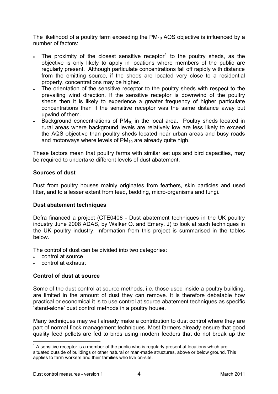<span id="page-20-0"></span>The likelihood of a poultry farm exceeding the  $PM_{10}$  AQS objective is influenced by a number of factors:

- The proximity of the closest sensitive receptor<sup>[1](#page-20-0)</sup> to the poultry sheds, as the objective is only likely to apply in locations where members of the public are regularly present. Although particulate concentrations fall off rapidly with distance from the emitting source, if the sheds are located very close to a residential property, concentrations may be higher.
- The orientation of the sensitive receptor to the poultry sheds with respect to the prevailing wind direction. If the sensitive receptor is downwind of the poultry sheds then it is likely to experience a greater frequency of higher particulate concentrations than if the sensitive receptor was the same distance away but upwind of them.
- Background concentrations of  $PM_{10}$  in the local area. Poultry sheds located in rural areas where background levels are relatively low are less likely to exceed the AQS objective than poultry sheds located near urban areas and busy roads and motorways where levels of  $PM_{10}$  are already quite high.

These factors mean that poultry farms with similar set ups and bird capacities, may be required to undertake different levels of dust abatement.

### **Sources of dust**

Dust from poultry houses mainly originates from feathers, skin particles and used litter, and to a lesser extent from feed, bedding, micro-organisms and fungi.

### **Dust abatement techniques**

Defra financed a project (CTE0408 - Dust abatement techniques in the UK poultry industry June 2008 ADAS, by Walker O. and Emery. J) to look at such techniques in the UK poultry industry. Information from this project is summarised in the tables below.

The control of dust can be divided into two categories:

- control at source
- control at exhaust

### **Control of dust at source**

Some of the dust control at source methods, i.e. those used inside a poultry building, are limited in the amount of dust they can remove. It is therefore debatable how practical or economical it is to use control at source abatement techniques as specific 'stand-alone' dust control methods in a poultry house.

Many techniques may well already make a contribution to dust control where they are part of normal flock management techniques. Most farmers already ensure that good quality feed pellets are fed to birds using modern feeders that do not break up the

 $^{\text{1}}$  A sensitive receptor is a member of the public who is regularly present at locations which are situated outside of buildings or other natural or man-made structures, above or below ground. This applies to farm workers and their families who live on-site.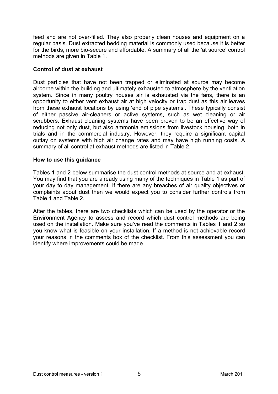feed and are not over-filled. They also properly clean houses and equipment on a regular basis. Dust extracted bedding material is commonly used because it is better for the birds, more bio-secure and affordable. A summary of all the 'at source' control methods are given in Table 1.

### **Control of dust at exhaust**

Dust particles that have not been trapped or eliminated at source may become airborne within the building and ultimately exhausted to atmosphere by the ventilation system. Since in many poultry houses air is exhausted via the fans, there is an opportunity to either vent exhaust air at high velocity or trap dust as this air leaves from these exhaust locations by using 'end of pipe systems'. These typically consist of either passive air-cleaners or active systems, such as wet cleaning or air scrubbers. Exhaust cleaning systems have been proven to be an effective way of reducing not only dust, but also ammonia emissions from livestock housing, both in trials and in the commercial industry. However, they require a significant capital outlay on systems with high air change rates and may have high running costs. A summary of all control at exhaust methods are listed in Table 2.

### **How to use this guidance**

Tables 1 and 2 below summarise the dust control methods at source and at exhaust. You may find that you are already using many of the techniques in Table 1 as part of your day to day management. If there are any breaches of air quality objectives or complaints about dust then we would expect you to consider further controls from Table 1 and Table 2.

After the tables, there are two checklists which can be used by the operator or the Environment Agency to assess and record which dust control methods are being used on the installation. Make sure you've read the comments in Tables 1 and 2 so you know what is feasible on your installation. If a method is not achievable record your reasons in the comments box of the checklist. From this assessment you can identify where improvements could be made.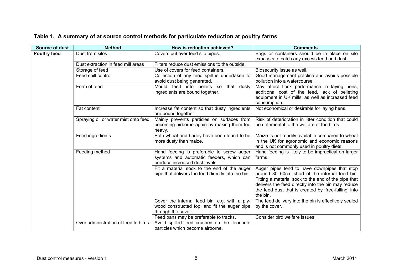| <b>Source of dust</b> | <b>Method</b>                        | How is reduction achieved?                                                                                              | <b>Comments</b>                                                                                                                                                                                                                                                                 |
|-----------------------|--------------------------------------|-------------------------------------------------------------------------------------------------------------------------|---------------------------------------------------------------------------------------------------------------------------------------------------------------------------------------------------------------------------------------------------------------------------------|
| <b>Poultry feed</b>   | Dust from silos                      | Covers put over feed silo pipes.                                                                                        | Bags or containers should be in place on silo<br>exhausts to catch any excess feed and dust.                                                                                                                                                                                    |
|                       | Dust extraction in feed mill areas   | Filters reduce dust emissions to the outside.                                                                           |                                                                                                                                                                                                                                                                                 |
|                       | Storage of feed                      | Use of covers for feed containers.                                                                                      | Biosecurity issue as well.                                                                                                                                                                                                                                                      |
|                       | Feed spill control                   | Collection of any feed spill is undertaken to<br>avoid dust being generated.                                            | Good management practice and avoids possible<br>pollution into a watercourse                                                                                                                                                                                                    |
|                       | Form of feed                         | Mould feed into pellets so that dusty<br>ingredients are bound together.                                                | May affect flock performance in laying hens,<br>additional cost of the feed, lack of pelleting<br>equipment in UK mills, as well as increased feed<br>consumption.                                                                                                              |
|                       | Fat content                          | Increase fat content so that dusty ingredients<br>are bound together.                                                   | Not economical or desirable for laying hens.                                                                                                                                                                                                                                    |
|                       | Spraying oil or water mist onto feed | Mainly prevents particles on surfaces from<br>becoming airborne again by making them too<br>heavy.                      | Risk of deterioration in litter condition that could<br>be detrimental to the welfare of the birds.                                                                                                                                                                             |
|                       | Feed ingredients                     | Both wheat and barley have been found to be<br>more dusty than maize.                                                   | Maize is not readily available compared to wheat<br>in the UK for agronomic and economic reasons<br>and is not commonly used in poultry diets.                                                                                                                                  |
|                       | Feeding method                       | Hand feeding is preferable to screw auger<br>systems and automatic feeders, which can<br>produce increased dust levels. | Hand feeding is likely to be impractical on larger<br>farms.                                                                                                                                                                                                                    |
|                       |                                      | Fit a material sock to the end of the auger<br>pipe that delivers the feed directly into the bin.                       | Auger pipes tend to have downpipes that stop<br>around 30-60cm short of the internal feed bin.<br>Fitting a material sock to the end of the pipe that<br>delivers the feed directly into the bin may reduce<br>the feed dust that is created by 'free-falling' into<br>the bin. |
|                       |                                      | Cover the internal feed bin, e.g. with a ply-<br>wood constructed top, and fit the auger pipe<br>through the cover.     | The feed delivery into the bin is effectively sealed<br>by the cover.                                                                                                                                                                                                           |
|                       |                                      | Feed pans may be preferable to tracks.                                                                                  | Consider bird welfare issues.                                                                                                                                                                                                                                                   |
|                       | Over administration of feed to birds | Avoid spilled feed crushed on the floor into<br>particles which become airborne.                                        |                                                                                                                                                                                                                                                                                 |

## **Table 1. A summary of at source control methods for particulate reduction at poultry farms**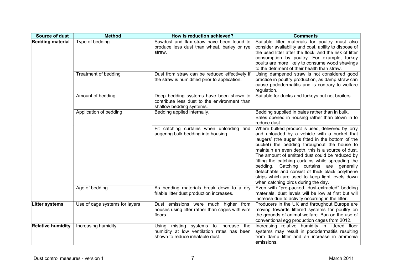| <b>Source of dust</b>    | <b>Method</b>                  | How is reduction achieved?                                                                                                | <b>Comments</b>                                                                                                                                                                                                                                                                                                                                                                                                                                                                                                                                            |
|--------------------------|--------------------------------|---------------------------------------------------------------------------------------------------------------------------|------------------------------------------------------------------------------------------------------------------------------------------------------------------------------------------------------------------------------------------------------------------------------------------------------------------------------------------------------------------------------------------------------------------------------------------------------------------------------------------------------------------------------------------------------------|
| <b>Bedding material</b>  | Type of bedding                | Sawdust and flax straw have been found to<br>produce less dust than wheat, barley or rye<br>straw.                        | Suitable litter materials for poultry must also<br>consider availability and cost, ability to dispose of<br>the used litter after the flock, and the risk of litter<br>consumption by poultry. For example, turkey<br>poults are more likely to consume wood shavings<br>to the detriment of their health than straw.                                                                                                                                                                                                                                      |
|                          | Treatment of bedding           | Dust from straw can be reduced effectively if<br>the straw is humidified prior to application.                            | Using dampened straw is not considered good<br>practice in poultry production, as damp straw can<br>cause pododermatitis and is contrary to welfare<br>regulation.                                                                                                                                                                                                                                                                                                                                                                                         |
|                          | Amount of bedding              | Deep bedding systems have been shown to<br>contribute less dust to the environment than<br>shallow bedding systems.       | Suitable for ducks and turkeys but not broilers.                                                                                                                                                                                                                                                                                                                                                                                                                                                                                                           |
|                          | Application of bedding         | Bedding applied internally.                                                                                               | Bedding supplied in bales rather than in bulk.<br>Bales opened in housing rather than blown in to<br>reduce dust.                                                                                                                                                                                                                                                                                                                                                                                                                                          |
|                          |                                | Fit catching curtains when unloading and<br>augering bulk bedding into housing.                                           | Where bulked product is used, delivered by lorry<br>and unloaded by a vehicle with a bucket that<br>'augers' (the auger is fitted in the bottom of the<br>bucket) the bedding throughout the house to<br>maintain an even depth, this is a source of dust.<br>The amount of emitted dust could be reduced by<br>fitting the catching curtains while spreading the<br>bedding. Catching curtains are generally<br>detachable and consist of thick black polythene<br>strips which are used to keep light levels down<br>when catching birds during the day. |
|                          | Age of bedding                 | As bedding materials break down to a dry<br>friable litter dust production increases.                                     | Even with "pre-packed, dust-extracted" bedding<br>materials, dust levels will be low at first but will<br>increase due to activity occurring in the litter.                                                                                                                                                                                                                                                                                                                                                                                                |
| <b>Litter systems</b>    | Use of cage systems for layers | Dust emissions were much higher from<br>houses using litter rather than cages with wire<br>floors.                        | Producers in the UK and throughout Europe are<br>moving towards littered systems for poultry on<br>the grounds of animal welfare. Ban on the use of<br>conventional egg production cages from 2012.                                                                                                                                                                                                                                                                                                                                                        |
| <b>Relative humidity</b> | Increasing humidity            | misting systems to increase the<br>Using<br>humidity at low ventilation rates has been<br>shown to reduce inhalable dust. | Increasing relative humidity in littered floor<br>systems may result in pododermatitis resulting<br>from damp litter and an increase in ammonia<br>emissions.                                                                                                                                                                                                                                                                                                                                                                                              |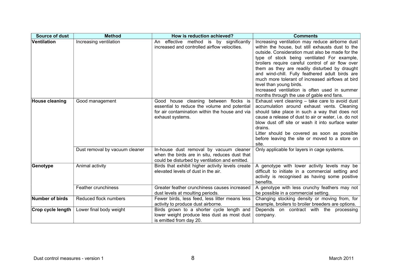| <b>Source of dust</b> | <b>Method</b>                  | How is reduction achieved?                                                                                                                                  | <b>Comments</b>                                                                                                                                                                                                                                                                                                                                                                                                                                                                                                                              |
|-----------------------|--------------------------------|-------------------------------------------------------------------------------------------------------------------------------------------------------------|----------------------------------------------------------------------------------------------------------------------------------------------------------------------------------------------------------------------------------------------------------------------------------------------------------------------------------------------------------------------------------------------------------------------------------------------------------------------------------------------------------------------------------------------|
| Ventilation           | Increasing ventilation         | An effective method is by significantly<br>increased and controlled airflow velocities.                                                                     | Increasing ventilation may reduce airborne dust<br>within the house, but still exhausts dust to the<br>outside. Consideration must also be made for the<br>type of stock being ventilated For example,<br>broilers require careful control of air flow over<br>them as they are readily disturbed by draught<br>and wind-chill. Fully feathered adult birds are<br>much more tolerant of increased airflows at bird<br>level than young birds.<br>Increased ventilation is often used in summer<br>months through the use of gable end fans. |
| <b>House cleaning</b> | Good management                | Good house cleaning between flocks is<br>essential to reduce the volume and potential<br>for air contamination within the house and via<br>exhaust systems. | Exhaust vent cleaning - take care to avoid dust<br>accumulation around exhaust vents. Cleaning<br>should take place in such a way that does not<br>cause a release of dust to air or water, i.e. do not<br>blow dust off site or wash it into surface water<br>drains.<br>Litter should be covered as soon as possible<br>before leaving the site or moved to a store on<br>site.                                                                                                                                                            |
|                       | Dust removal by vacuum cleaner | In-house dust removal by vacuum cleaner<br>when the birds are in situ, reduces dust that<br>could be disturbed by ventilation and emitted.                  | Only applicable for layers in cage systems.                                                                                                                                                                                                                                                                                                                                                                                                                                                                                                  |
| Genotype              | Animal activity                | Birds that exhibit higher activity levels create<br>elevated levels of dust in the air.                                                                     | A genotype with lower activity levels may be<br>difficult to initiate in a commercial setting and<br>activity is recognised as having some positive<br>benefits.                                                                                                                                                                                                                                                                                                                                                                             |
|                       | Feather crunchiness            | Greater feather crunchiness causes increased<br>dust levels at moulting periods.                                                                            | A genotype with less crunchy feathers may not<br>be possible in a commercial setting.                                                                                                                                                                                                                                                                                                                                                                                                                                                        |
| Number of birds       | Reduced flock numbers          | Fewer birds, less feed, less litter means less<br>activity to produce dust airborne.                                                                        | Changing stocking density or moving from, for<br>example, broilers to broiler breeders are options.                                                                                                                                                                                                                                                                                                                                                                                                                                          |
| Crop cycle length     | Lower final body weight        | Birds grown to a shorter cycle length and<br>lower weight produce less dust as most dust<br>is emitted from day 20.                                         | Depends on contract with the processing<br>company.                                                                                                                                                                                                                                                                                                                                                                                                                                                                                          |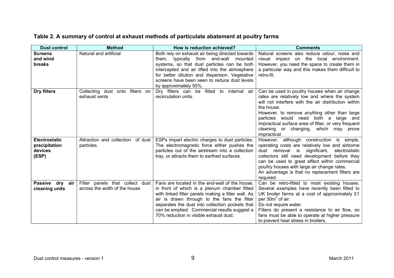| Table 2. A summary of control at exhaust methods of particulate abatement at poultry farms |  |
|--------------------------------------------------------------------------------------------|--|
|--------------------------------------------------------------------------------------------|--|

| <b>Dust control</b>                                       | <b>Method</b>                                                    | How is reduction achieved?                                                                                                                                                                                                                                                                                                                       | <b>Comments</b>                                                                                                                                                                                                                                                                                                                                                               |
|-----------------------------------------------------------|------------------------------------------------------------------|--------------------------------------------------------------------------------------------------------------------------------------------------------------------------------------------------------------------------------------------------------------------------------------------------------------------------------------------------|-------------------------------------------------------------------------------------------------------------------------------------------------------------------------------------------------------------------------------------------------------------------------------------------------------------------------------------------------------------------------------|
| <b>Screens</b><br>and wind<br>breaks                      | Natural and artificial                                           | Both rely on exhaust air being directed towards<br>them, typically from end-wall<br>mounted<br>systems, so that dust particles can be both<br>intercepted and air lifted into the atmosphere<br>for better dilution and dispersion. Vegetative<br>screens have been seen to reduce dust levels<br>by approximately 50%.                          | Natural screens also reduce odour, noise and<br>impact on the local environment.<br>visual<br>However, you need the space to create them in<br>a particular way and this makes them difficult to<br>retro-fit.                                                                                                                                                                |
| Dry filters                                               | Collecting dust onto filters on<br>exhaust vents                 | Dry filters can be fitted to internal air<br>recirculation units.                                                                                                                                                                                                                                                                                | Can be used in poultry houses when air change<br>rates are relatively low and where the system<br>will not interfere with the air distribution within<br>the house.<br>However, to remove anything other than large<br>particles would need both a large and<br>impractical surface area of filter, or very frequent<br>cleaning or changing, which may prove<br>impractical. |
| <b>Electrostatic</b><br>precipitation<br>devices<br>(ESP) | Attraction and collection of dust<br>particles                   | ESPs impart electric charges to dust particles.<br>The electromagnetic force either pushes the<br>particles out of the airstream into a collection<br>tray, or attracts them to earthed surfaces.                                                                                                                                                | However, although construction is simple,<br>operating costs are relatively low and airborne<br>dust removal is<br>significant,<br>electrostatic<br>collectors still need development before they<br>can be used to great effect within commercial<br>poultry houses with large air change rates.<br>An advantage is that no replacement filters are<br>required.             |
| <b>Passive</b><br>dry<br>air<br>cleaning units            | Filter panels that collect dust<br>across the width of the house | Fans are located in the end-wall of the house,<br>in front of which is a plenum chamber fitted<br>with linked filter panels making a filter wall. As<br>air is drawn through to the fans the filter<br>separates the dust into collection pockets that<br>can be emptied. Commercial results suggest a<br>70% reduction in visible exhaust dust. | Can be retro-fitted to most existing houses.<br>Several examples have recently been fitted to<br>UK broiler farms at a cost of approximately £1<br>per 30m <sup>3</sup> of air.<br>Do not require water.<br>Filters do present a resistance to air flow, so<br>fans must be able to operate at higher pressure<br>to prevent heat stress in broilers.                         |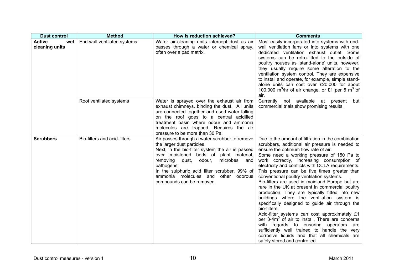| <b>Dust control</b>                    | <b>Method</b>                | How is reduction achieved?                                                                                                                                                                                                                                                                                                                                     | <b>Comments</b>                                                                                                                                                                                                                                                                                                                                                                                                                                                                                                                                                                                                                                                                                                                                                                                                                                                                                                                                             |
|----------------------------------------|------------------------------|----------------------------------------------------------------------------------------------------------------------------------------------------------------------------------------------------------------------------------------------------------------------------------------------------------------------------------------------------------------|-------------------------------------------------------------------------------------------------------------------------------------------------------------------------------------------------------------------------------------------------------------------------------------------------------------------------------------------------------------------------------------------------------------------------------------------------------------------------------------------------------------------------------------------------------------------------------------------------------------------------------------------------------------------------------------------------------------------------------------------------------------------------------------------------------------------------------------------------------------------------------------------------------------------------------------------------------------|
| <b>Active</b><br>wet<br>cleaning units | End-wall ventilated systems  | Water air-cleaning units intercept dust as air<br>passes through a water or chemical spray,<br>often over a pad matrix.                                                                                                                                                                                                                                        | Most easily incorporated into systems with end-<br>wall ventilation fans or into systems with one<br>dedicated ventilation exhaust outlet. Some<br>systems can be retro-fitted to the outside of<br>poultry houses as 'stand-alone' units, however,<br>they usually require some alteration to the<br>ventilation system control. They are expensive<br>to install and operate, for example, simple stand-<br>alone units can cost over £20,000 for about<br>100,000 m <sup>3</sup> /hr of air change, or £1 per 5 m <sup>3</sup> of<br>air.                                                                                                                                                                                                                                                                                                                                                                                                                |
|                                        | Roof ventilated systems      | Water is sprayed over the exhaust air from<br>exhaust chimneys, binding the dust. All units<br>are connected together and used water falling<br>on the roof goes to a central acidified<br>treatment basin where odour and ammonia<br>molecules are trapped. Requires the air<br>pressure to be more than 30 Pa.                                               | Currently not available at<br>present<br>but<br>commercial trials show promising results.                                                                                                                                                                                                                                                                                                                                                                                                                                                                                                                                                                                                                                                                                                                                                                                                                                                                   |
| <b>Scrubbers</b>                       | Bio-filters and acid-filters | Air passes through a water scrubber to remove<br>the larger dust particles.<br>Next, in the bio-filter system the air is passed<br>over moistened beds of plant material,<br>removing<br>dust,<br>odour,<br>microbes<br>and<br>pathogens.<br>In the sulphuric acid filter scrubber, 99% of<br>ammonia molecules and other odorous<br>compounds can be removed. | Due to the amount of filtration in the combination<br>scrubbers, additional air pressure is needed to<br>ensure the optimum flow rate of air.<br>Some need a working pressure of 150 Pa to<br>work correctly, increasing consumption of<br>electricity and conflicts with CCLA requirements.<br>This pressure can be five times greater than<br>conventional poultry ventilation systems.<br>Bio-filters are used in mainland Europe but are<br>rare in the UK at present in commercial poultry<br>production. They are typically fitted into new<br>buildings where the ventilation system is<br>specifically designed to guide air through the<br>bio-filters.<br>Acid-filter systems can cost approximately £1<br>per 3-4m <sup>3</sup> of air to install. There are concerns<br>with regards to ensuring operators are<br>sufficiently well trained to handle the very<br>corrosive liquids and that all chemicals are<br>safely stored and controlled. |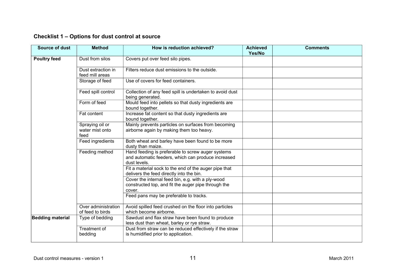| Checklist 1 – Options for dust control at source |  |  |  |  |
|--------------------------------------------------|--|--|--|--|
|--------------------------------------------------|--|--|--|--|

| <b>Source of dust</b>   | <b>Method</b>                              | How is reduction achieved?                                                                                              | <b>Achieved</b><br>Yes/No | <b>Comments</b> |
|-------------------------|--------------------------------------------|-------------------------------------------------------------------------------------------------------------------------|---------------------------|-----------------|
| <b>Poultry feed</b>     | Dust from silos                            | Covers put over feed silo pipes.                                                                                        |                           |                 |
|                         | Dust extraction in<br>feed mill areas      | Filters reduce dust emissions to the outside.                                                                           |                           |                 |
|                         | Storage of feed                            | Use of covers for feed containers.                                                                                      |                           |                 |
|                         | Feed spill control                         | Collection of any feed spill is undertaken to avoid dust<br>being generated.                                            |                           |                 |
|                         | Form of feed                               | Mould feed into pellets so that dusty ingredients are<br>bound together.                                                |                           |                 |
|                         | Fat content                                | Increase fat content so that dusty ingredients are<br>bound together.                                                   |                           |                 |
|                         | Spraying oil or<br>water mist onto<br>feed | Mainly prevents particles on surfaces from becoming<br>airborne again by making them too heavy.                         |                           |                 |
|                         | Feed ingredients                           | Both wheat and barley have been found to be more<br>dusty than maize.                                                   |                           |                 |
|                         | Feeding method                             | Hand feeding is preferable to screw auger systems<br>and automatic feeders, which can produce increased<br>dust levels. |                           |                 |
|                         |                                            | Fit a material sock to the end of the auger pipe that<br>delivers the feed directly into the bin.                       |                           |                 |
|                         |                                            | Cover the internal feed bin, e.g. with a ply-wood<br>constructed top, and fit the auger pipe through the<br>cover.      |                           |                 |
|                         |                                            | Feed pans may be preferable to tracks.                                                                                  |                           |                 |
|                         | Over administration<br>of feed to birds    | Avoid spilled feed crushed on the floor into particles<br>which become airborne.                                        |                           |                 |
| <b>Bedding material</b> | Type of bedding                            | Sawdust and flax straw have been found to produce<br>less dust than wheat, barley or rye straw.                         |                           |                 |
|                         | Treatment of<br>bedding                    | Dust from straw can be reduced effectively if the straw<br>is humidified prior to application.                          |                           |                 |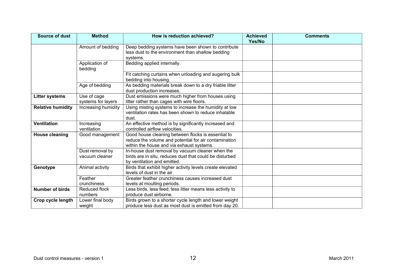| <b>Source of dust</b>    | <b>Method</b>                     | How is reduction achieved?                                                                                                                               | <b>Achieved</b><br>Yes/No | <b>Comments</b> |
|--------------------------|-----------------------------------|----------------------------------------------------------------------------------------------------------------------------------------------------------|---------------------------|-----------------|
|                          | Amount of bedding                 | Deep bedding systems have been shown to contribute<br>less dust to the environment than shallow bedding<br>systems.                                      |                           |                 |
|                          | Application of<br>bedding         | Bedding applied internally.                                                                                                                              |                           |                 |
|                          |                                   | Fit catching curtains when unloading and augering bulk<br>bedding into housing.                                                                          |                           |                 |
|                          | Age of bedding                    | As bedding materials break down to a dry friable litter<br>dust production increases.                                                                    |                           |                 |
| <b>Litter systems</b>    | Use of cage<br>systems for layers | Dust emissions were much higher from houses using<br>litter rather than cages with wire floors.                                                          |                           |                 |
| <b>Relative humidity</b> | Increasing humidity               | Using misting systems to increase the humidity at low<br>ventilation rates has been shown to reduce inhalable<br>dust.                                   |                           |                 |
| <b>Ventilation</b>       | Increasing<br>ventilation         | An effective method is by significantly increased and<br>controlled airflow velocities.                                                                  |                           |                 |
| <b>House cleaning</b>    | Good management                   | Good house cleaning between flocks is essential to<br>reduce the volume and potential for air contamination<br>within the house and via exhaust systems. |                           |                 |
|                          | Dust removal by<br>vacuum cleaner | In-house dust removal by vacuum cleaner when the<br>birds are in situ, reduces dust that could be disturbed<br>by ventilation and emitted.               |                           |                 |
| Genotype                 | Animal activity                   | Birds that exhibit higher activity levels create elevated<br>levels of dust in the air.                                                                  |                           |                 |
|                          | Feather<br>crunchiness            | Greater feather crunchiness causes increased dust<br>levels at moulting periods.                                                                         |                           |                 |
| <b>Number of birds</b>   | Reduced flock<br>numbers          | Less birds, less feed, less litter means less activity to<br>produce dust airborne.                                                                      |                           |                 |
| Crop cycle length        | Lower final body<br>weight        | Birds grown to a shorter cycle length and lower weight<br>produce less dust as most dust is emitted from day 20.                                         |                           |                 |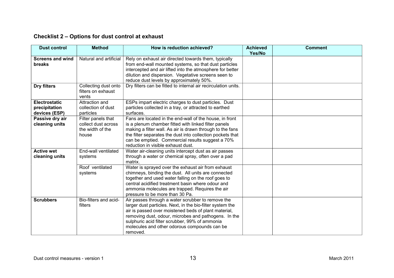| <b>Dust control</b>                             | <b>Method</b>                                                          | How is reduction achieved?                                                                                                                                                                                                                                                                                                                   | <b>Achieved</b><br>Yes/No | <b>Comment</b> |
|-------------------------------------------------|------------------------------------------------------------------------|----------------------------------------------------------------------------------------------------------------------------------------------------------------------------------------------------------------------------------------------------------------------------------------------------------------------------------------------|---------------------------|----------------|
| <b>Screens and wind</b><br><b>breaks</b>        | Natural and artificial                                                 | Rely on exhaust air directed towards them, typically<br>from end-wall mounted systems, so that dust particles<br>intercepted and air lifted into the atmosphere for better<br>dilution and dispersion. Vegetative screens seen to<br>reduce dust levels by approximately 50%.                                                                |                           |                |
| Dry filters                                     | Collecting dust onto<br>filters on exhaust<br>vents                    | Dry filters can be fitted to internal air recirculation units.                                                                                                                                                                                                                                                                               |                           |                |
| Electrostatic<br>precipitation<br>devices (ESP) | Attraction and<br>collection of dust<br>particles                      | ESPs impart electric charges to dust particles. Dust<br>particles collected in a tray, or attracted to earthed<br>surfaces.                                                                                                                                                                                                                  |                           |                |
| Passive dry air<br>cleaning units               | Filter panels that<br>collect dust across<br>the width of the<br>house | Fans are located in the end-wall of the house, in front<br>is a plenum chamber fitted with linked filter panels<br>making a filter wall. As air is drawn through to the fans<br>the filter separates the dust into collection pockets that<br>can be emptied. Commercial results suggest a 70%<br>reduction in visible exhaust dust.         |                           |                |
| <b>Active wet</b><br>cleaning units             | End-wall ventilated<br>systems                                         | Water air-cleaning units intercept dust as air passes<br>through a water or chemical spray, often over a pad<br>matrix.                                                                                                                                                                                                                      |                           |                |
|                                                 | Roof ventilated<br>systems                                             | Water is sprayed over the exhaust air from exhaust<br>chimneys, binding the dust. All units are connected<br>together and used water falling on the roof goes to<br>central acidified treatment basin where odour and<br>ammonia molecules are trapped. Requires the air<br>pressure to be more than 30 Pa.                                  |                           |                |
| <b>Scrubbers</b>                                | Bio-filters and acid-<br>filters                                       | Air passes through a water scrubber to remove the<br>larger dust particles. Next, in the bio-filter system the<br>air is passed over moistened beds of plant material,<br>removing dust, odour, microbes and pathogens. In the<br>sulphuric acid filter scrubber, 99% of ammonia<br>molecules and other odorous compounds can be<br>removed. |                           |                |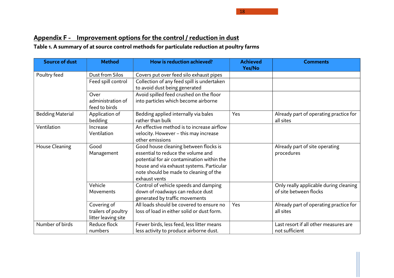18

# **Appendix F - Improvement options for the control / reduction in dust**

**Table 1. A summary of at source control methods for particulate reduction at poultry farms**

<span id="page-30-0"></span>

| <b>Source of dust</b>   | <b>Method</b>       | How is reduction achieved?                 | <b>Achieved</b> | <b>Comments</b>                        |
|-------------------------|---------------------|--------------------------------------------|-----------------|----------------------------------------|
|                         |                     |                                            | Yes/No          |                                        |
| Poultry feed            | Dust from Silos     | Covers put over feed silo exhaust pipes    |                 |                                        |
|                         | Feed spill control  | Collection of any feed spill is undertaken |                 |                                        |
|                         |                     | to avoid dust being generated              |                 |                                        |
|                         | Over                | Avoid spilled feed crushed on the floor    |                 |                                        |
|                         | administration of   | into particles which become airborne       |                 |                                        |
|                         | feed to birds       |                                            |                 |                                        |
| <b>Bedding Material</b> | Application of      | Bedding applied internally via bales       | Yes             | Already part of operating practice for |
|                         | bedding             | rather than bulk                           |                 | all sites                              |
| Ventilation             | Increase            | An effective method is to increase airflow |                 |                                        |
|                         | Ventilation         | velocity. However - this may increase      |                 |                                        |
|                         |                     | other emissions                            |                 |                                        |
| House Cleaning          | Good                | Good house cleaning between flocks is      |                 | Already part of site operating         |
|                         | Management          | essential to reduce the volume and         |                 | procedures                             |
|                         |                     | potential for air contamination within the |                 |                                        |
|                         |                     | house and via exhaust systems. Particular  |                 |                                        |
|                         |                     | note should be made to cleaning of the     |                 |                                        |
|                         |                     | exhaust vents                              |                 |                                        |
|                         | Vehicle             | Control of vehicle speeds and damping      |                 | Only really applicable during cleaning |
|                         | Movements           | down of roadways can reduce dust           |                 | of site between flocks                 |
|                         |                     | generated by traffic movements             |                 |                                        |
|                         | Covering of         | All loads should be covered to ensure no   | Yes             | Already part of operating practice for |
|                         | trailers of poultry | loss of load in either solid or dust form. |                 | all sites                              |
|                         | litter leaving site |                                            |                 |                                        |
| Number of birds         | Reduce flock        | Fewer birds, less feed, less litter means  |                 | Last resort if all other measures are  |
|                         | numbers             | less activity to produce airborne dust.    |                 | not sufficient                         |